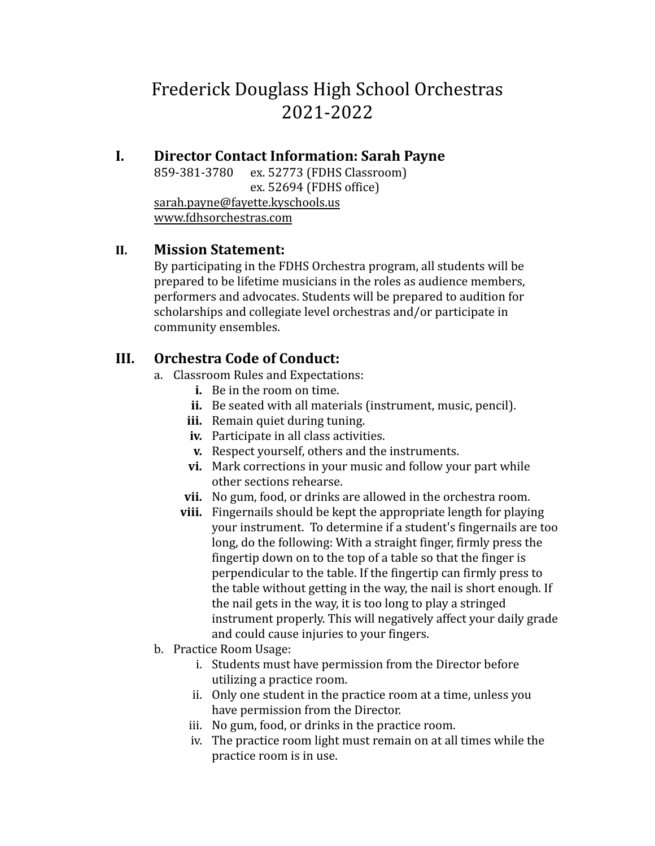# Frederick Douglass High School Orchestras 2021-2022

# **I. Director Contact Information: Sarah Payne**

ex. 52773 (FDHS Classroom) ex. 52694 (FDHS office) [sarah.payne@fayette.kyschools.us](mailto:sarah.payne@fayette.kyschools.us) [www.fdhsorchestras.com](http://www.fdhsorchestras.com)

#### **II. Mission Statement:**

By participating in the FDHS Orchestra program, all students will be prepared to be lifetime musicians in the roles as audience members, performers and advocates. Students will be prepared to audition for scholarships and collegiate level orchestras and/or participate in community ensembles.

#### **III. Orchestra Code of Conduct:**

- a. Classroom Rules and Expectations:
	- **i.** Be in the room on time.
	- **ii.** Be seated with all materials (instrument, music, pencil).
	- **iii.** Remain quiet during tuning.
	- **iv.** Participate in all class activities.
	- **v.** Respect yourself, others and the instruments.
	- **vi.** Mark corrections in your music and follow your part while other sections rehearse.
	- **vii.** No gum, food, or drinks are allowed in the orchestra room.
	- **viii.** Fingernails should be kept the appropriate length for playing your instrument. To determine if a student's fingernails are too long, do the following: With a straight finger, firmly press the fingertip down on to the top of a table so that the finger is perpendicular to the table. If the fingertip can firmly press to the table without getting in the way, the nail is short enough. If the nail gets in the way, it is too long to play a stringed instrument properly. This will negatively affect your daily grade and could cause injuries to your fingers.
- b. Practice Room Usage:
	- i. Students must have permission from the Director before utilizing a practice room.
	- ii. Only one student in the practice room at a time, unless you have permission from the Director.
	- iii. No gum, food, or drinks in the practice room.
	- iv. The practice room light must remain on at all times while the practice room is in use.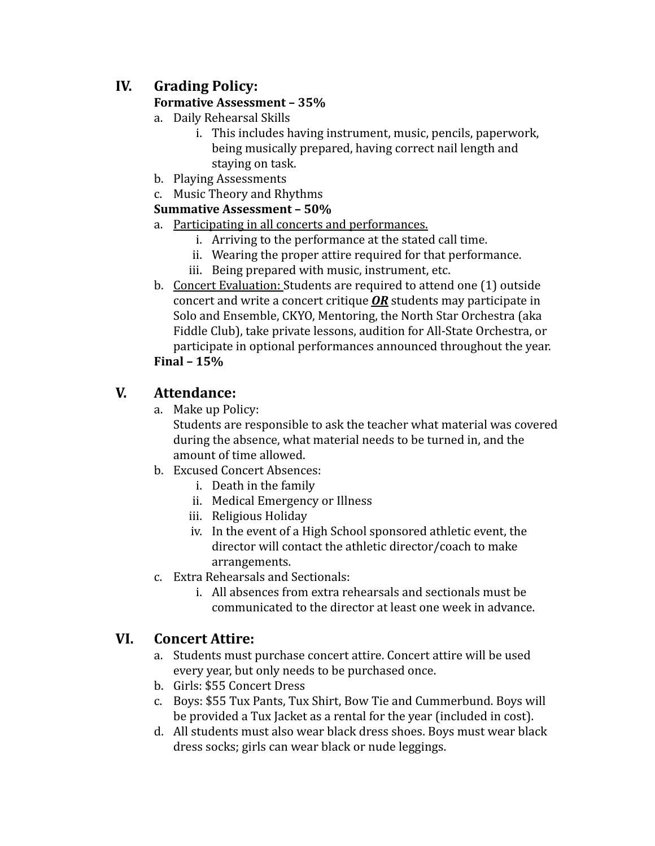## **IV. Grading Policy:**

#### **Formative Assessment – 35%**

- a. Daily Rehearsal Skills
	- i. This includes having instrument, music, pencils, paperwork, being musically prepared, having correct nail length and staying on task.
- b. Playing Assessments
- c. Music Theory and Rhythms

#### **Summative Assessment – 50%**

- a. Participating in all concerts and performances.
	- i. Arriving to the performance at the stated call time.
	- ii. Wearing the proper attire required for that performance.
	- iii. Being prepared with music, instrument, etc.
- b. Concert Evaluation: Students are required to attend one (1) outside concert and write a concert critique *OR* students may participate in Solo and Ensemble, CKYO, Mentoring, the North Star Orchestra (aka Fiddle Club), take private lessons, audition for All-State Orchestra, or participate in optional performances announced throughout the year.

#### **Final – 15%**

#### **V. Attendance:**

a. Make up Policy:

Students are responsible to ask the teacher what material was covered during the absence, what material needs to be turned in, and the amount of time allowed.

- b. Excused Concert Absences:
	- i. Death in the family
	- ii. Medical Emergency or Illness
	- iii. Religious Holiday
	- iv. In the event of a High School sponsored athletic event, the director will contact the athletic director/coach to make arrangements.
- c. Extra Rehearsals and Sectionals:
	- i. All absences from extra rehearsals and sectionals must be communicated to the director at least one week in advance.

### **VI. Concert Attire:**

- a. Students must purchase concert attire. Concert attire will be used every year, but only needs to be purchased once.
- b. Girls: \$55 Concert Dress
- c. Boys: \$55 Tux Pants, Tux Shirt, Bow Tie and Cummerbund. Boys will be provided a Tux Jacket as a rental for the year (included in cost).
- d. All students must also wear black dress shoes. Boys must wear black dress socks; girls can wear black or nude leggings.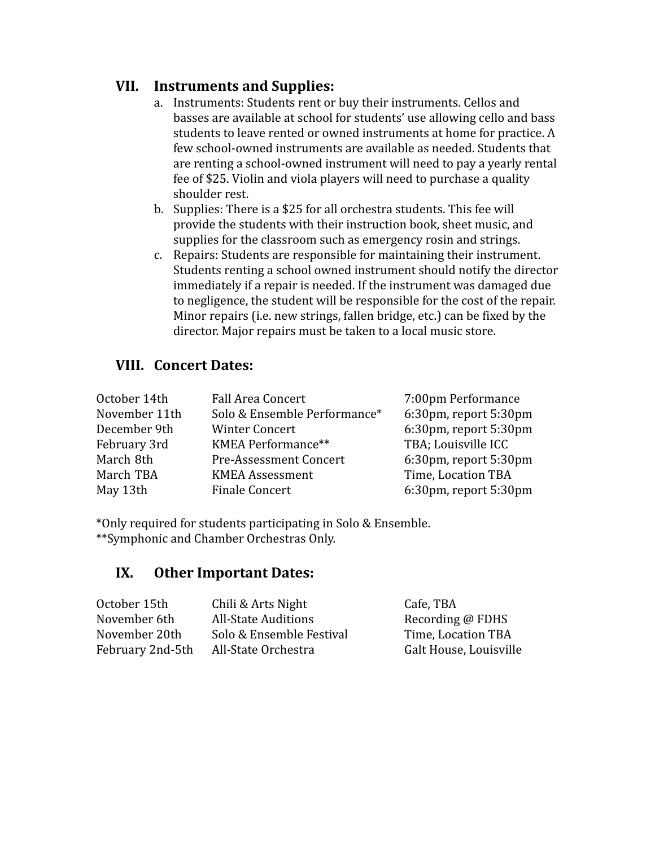#### **VII. Instruments and Supplies:**

- a. Instruments: Students rent or buy their instruments. Cellos and basses are available at school for students' use allowing cello and bass students to leave rented or owned instruments at home for practice. A few school-owned instruments are available as needed. Students that are renting a school-owned instrument will need to pay a yearly rental fee of \$25. Violin and viola players will need to purchase a quality shoulder rest.
- b. Supplies: There is a \$25 for all orchestra students. This fee will provide the students with their instruction book, sheet music, and supplies for the classroom such as emergency rosin and strings.
- c. Repairs: Students are responsible for maintaining their instrument. Students renting a school owned instrument should notify the director immediately if a repair is needed. If the instrument was damaged due to negligence, the student will be responsible for the cost of the repair. Minor repairs (i.e. new strings, fallen bridge, etc.) can be fixed by the director. Major repairs must be taken to a local music store.

#### **VIII. Concert Dates:**

| October 14th  | <b>Fall Area Concert</b>      | 7:00pm Performance    |
|---------------|-------------------------------|-----------------------|
| November 11th | Solo & Ensemble Performance*  | 6:30pm, report 5:30pm |
| December 9th  | <b>Winter Concert</b>         | 6:30pm, report 5:30pm |
| February 3rd  | KMEA Performance**            | TBA; Louisville ICC   |
| March 8th     | <b>Pre-Assessment Concert</b> | 6:30pm, report 5:30pm |
| March TBA     | <b>KMEA Assessment</b>        | Time, Location TBA    |
| May 13th      | <b>Finale Concert</b>         | 6:30pm, report 5:30pm |

\*Only required for students participating in Solo & Ensemble. \*\*Symphonic and Chamber Orchestras Only.

#### **IX. Other Important Dates:**

| October 15th     | Chili & Arts Night         | Cafe, TBA              |
|------------------|----------------------------|------------------------|
| November 6th     | <b>All-State Auditions</b> | Recording @ FDHS       |
| November 20th    | Solo & Ensemble Festival   | Time, Location TBA     |
| February 2nd-5th | All-State Orchestra        | Galt House, Louisville |